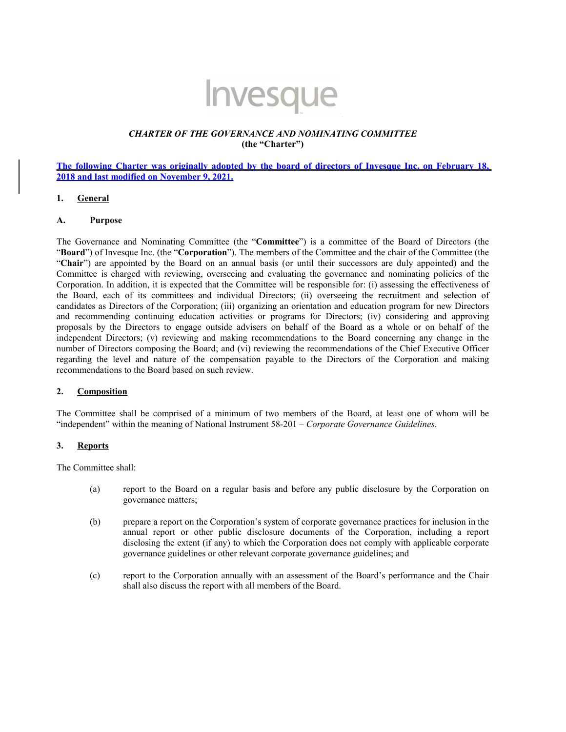# Invesque

## *CHARTER OF THE GOVERNANCE AND NOMINATING COMMITTEE* **(the "Charter")**

## **The following Charter was originally adopted by the board of directors of Invesque Inc. on February 18, 2018 and last modified on November 9, 2021.**

#### **1. General**

#### **A. Purpose**

The Governance and Nominating Committee (the "**Committee**") is a committee of the Board of Directors (the "**Board**") of Invesque Inc. (the "**Corporation**"). The members of the Committee and the chair of the Committee (the "**Chair**") are appointed by the Board on an annual basis (or until their successors are duly appointed) and the Committee is charged with reviewing, overseeing and evaluating the governance and nominating policies of the Corporation. In addition, it is expected that the Committee will be responsible for: (i) assessing the effectiveness of the Board, each of its committees and individual Directors; (ii) overseeing the recruitment and selection of candidates as Directors of the Corporation; (iii) organizing an orientation and education program for new Directors and recommending continuing education activities or programs for Directors; (iv) considering and approving proposals by the Directors to engage outside advisers on behalf of the Board as a whole or on behalf of the independent Directors; (v) reviewing and making recommendations to the Board concerning any change in the number of Directors composing the Board; and (vi) reviewing the recommendations of the Chief Executive Officer regarding the level and nature of the compensation payable to the Directors of the Corporation and making recommendations to the Board based on such review.

# **2. Composition**

The Committee shall be comprised of a minimum of two members of the Board, at least one of whom will be "independent" within the meaning of National Instrument 58-201 – *Corporate Governance Guidelines*.

#### **3. Reports**

The Committee shall:

- (a) report to the Board on a regular basis and before any public disclosure by the Corporation on governance matters;
- (b) prepare a report on the Corporation's system of corporate governance practices for inclusion in the annual report or other public disclosure documents of the Corporation, including a report disclosing the extent (if any) to which the Corporation does not comply with applicable corporate governance guidelines or other relevant corporate governance guidelines; and
- (c) report to the Corporation annually with an assessment of the Board's performance and the Chair shall also discuss the report with all members of the Board.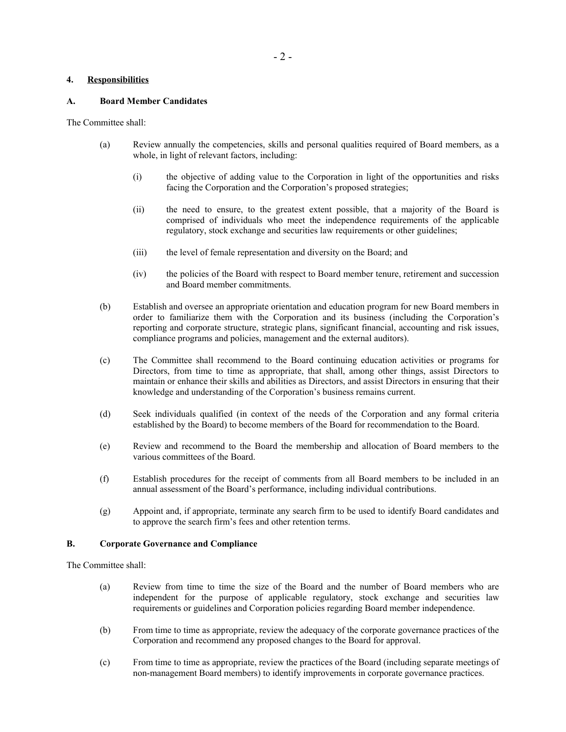# **4. Responsibilities**

## **A. Board Member Candidates**

The Committee shall:

- (a) Review annually the competencies, skills and personal qualities required of Board members, as a whole, in light of relevant factors, including:
	- (i) the objective of adding value to the Corporation in light of the opportunities and risks facing the Corporation and the Corporation's proposed strategies;
	- (ii) the need to ensure, to the greatest extent possible, that a majority of the Board is comprised of individuals who meet the independence requirements of the applicable regulatory, stock exchange and securities law requirements or other guidelines;
	- (iii) the level of female representation and diversity on the Board; and
	- (iv) the policies of the Board with respect to Board member tenure, retirement and succession and Board member commitments.
- (b) Establish and oversee an appropriate orientation and education program for new Board members in order to familiarize them with the Corporation and its business (including the Corporation's reporting and corporate structure, strategic plans, significant financial, accounting and risk issues, compliance programs and policies, management and the external auditors).
- (c) The Committee shall recommend to the Board continuing education activities or programs for Directors, from time to time as appropriate, that shall, among other things, assist Directors to maintain or enhance their skills and abilities as Directors, and assist Directors in ensuring that their knowledge and understanding of the Corporation's business remains current.
- (d) Seek individuals qualified (in context of the needs of the Corporation and any formal criteria established by the Board) to become members of the Board for recommendation to the Board.
- (e) Review and recommend to the Board the membership and allocation of Board members to the various committees of the Board.
- (f) Establish procedures for the receipt of comments from all Board members to be included in an annual assessment of the Board's performance, including individual contributions.
- (g) Appoint and, if appropriate, terminate any search firm to be used to identify Board candidates and to approve the search firm's fees and other retention terms.

#### **B. Corporate Governance and Compliance**

The Committee shall:

- (a) Review from time to time the size of the Board and the number of Board members who are independent for the purpose of applicable regulatory, stock exchange and securities law requirements or guidelines and Corporation policies regarding Board member independence.
- (b) From time to time as appropriate, review the adequacy of the corporate governance practices of the Corporation and recommend any proposed changes to the Board for approval.
- (c) From time to time as appropriate, review the practices of the Board (including separate meetings of non-management Board members) to identify improvements in corporate governance practices.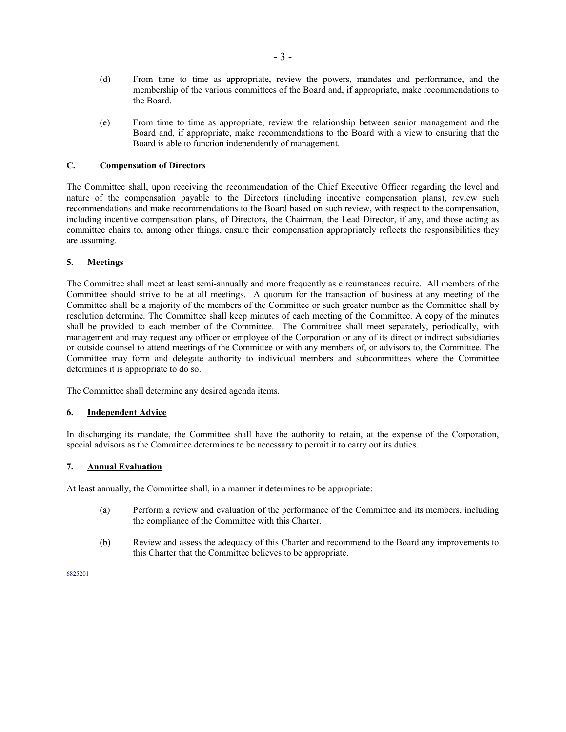- (d) From time to time as appropriate, review the powers, mandates and performance, and the membership of the various committees of the Board and, if appropriate, make recommendations to the Board.
- (e) From time to time as appropriate, review the relationship between senior management and the Board and, if appropriate, make recommendations to the Board with a view to ensuring that the Board is able to function independently of management.

# **C. Compensation of Directors**

The Committee shall, upon receiving the recommendation of the Chief Executive Officer regarding the level and nature of the compensation payable to the Directors (including incentive compensation plans), review such recommendations and make recommendations to the Board based on such review, with respect to the compensation, including incentive compensation plans, of Directors, the Chairman, the Lead Director, if any, and those acting as committee chairs to, among other things, ensure their compensation appropriately reflects the responsibilities they are assuming.

## **5. Meetings**

The Committee shall meet at least semi-annually and more frequently as circumstances require. All members of the Committee should strive to be at all meetings. A quorum for the transaction of business at any meeting of the Committee shall be a majority of the members of the Committee or such greater number as the Committee shall by resolution determine. The Committee shall keep minutes of each meeting of the Committee. A copy of the minutes shall be provided to each member of the Committee. The Committee shall meet separately, periodically, with management and may request any officer or employee of the Corporation or any of its direct or indirect subsidiaries or outside counsel to attend meetings of the Committee or with any members of, or advisors to, the Committee. The Committee may form and delegate authority to individual members and subcommittees where the Committee determines it is appropriate to do so.

The Committee shall determine any desired agenda items.

#### **6. Independent Advice**

In discharging its mandate, the Committee shall have the authority to retain, at the expense of the Corporation, special advisors as the Committee determines to be necessary to permit it to carry out its duties.

## **7. Annual Evaluation**

At least annually, the Committee shall, in a manner it determines to be appropriate:

- (a) Perform a review and evaluation of the performance of the Committee and its members, including the compliance of the Committee with this Charter.
- (b) Review and assess the adequacy of this Charter and recommend to the Board any improvements to this Charter that the Committee believes to be appropriate.